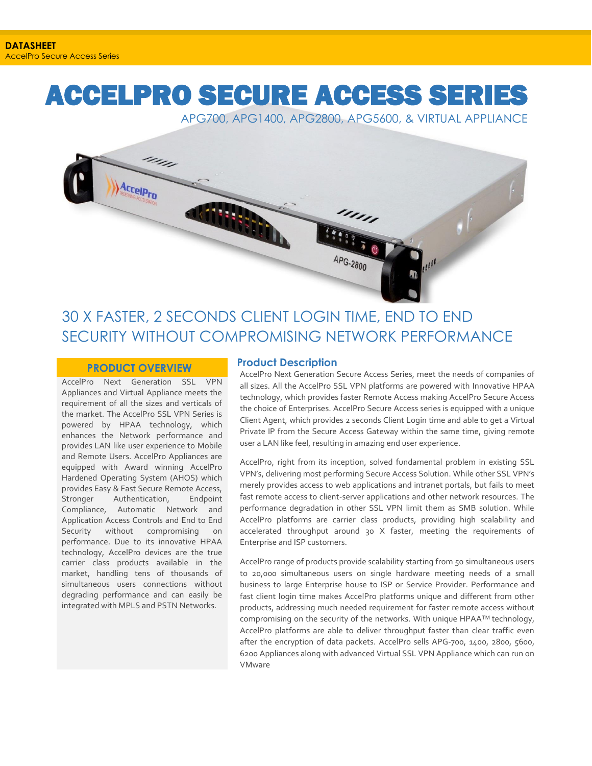# ACCELPRO SECURE ACCESS SERIES

APG700, APG1400, APG2800, APG5600, & VIRTUAL APPLIANCE



# 30 X FASTER, 2 SECONDS CLIENT LOGIN TIME, END TO END SECURITY WITHOUT COMPROMISING NETWORK PERFORMANCE

#### **PRODUCT OVERVIEW**

AccelPro Next Generation SSL VPN Appliances and Virtual Appliance meets the requirement of all the sizes and verticals of the market. The AccelPro SSL VPN Series is powered by HPAA technology, which enhances the Network performance and provides LAN like user experience to Mobile and Remote Users. AccelPro Appliances are equipped with Award winning AccelPro Hardened Operating System (AHOS) which provides Easy & Fast Secure Remote Access, Stronger Authentication, Endpoint Compliance, Automatic Network and Application Access Controls and End to End Security without compromising on performance. Due to its innovative HPAA technology, AccelPro devices are the true carrier class products available in the market, handling tens of thousands of simultaneous users connections without degrading performance and can easily be integrated with MPLS and PSTN Networks.

#### **Product Description**

AccelPro Next Generation Secure Access Series, meet the needs of companies of all sizes. All the AccelPro SSL VPN platforms are powered with Innovative HPAA technology, which provides faster Remote Access making AccelPro Secure Access the choice of Enterprises. AccelPro Secure Access series is equipped with a unique Client Agent, which provides 2 seconds Client Login time and able to get a Virtual Private IP from the Secure Access Gateway within the same time, giving remote user a LAN like feel, resulting in amazing end user experience.

AccelPro, right from its inception, solved fundamental problem in existing SSL VPN's, delivering most performing Secure Access Solution. While other SSL VPN's merely provides access to web applications and intranet portals, but fails to meet fast remote access to client-server applications and other network resources. The performance degradation in other SSL VPN limit them as SMB solution. While AccelPro platforms are carrier class products, providing high scalability and accelerated throughput around 30 X faster, meeting the requirements of Enterprise and ISP customers.

AccelPro range of products provide scalability starting from 50 simultaneous users to 20,000 simultaneous users on single hardware meeting needs of a small business to large Enterprise house to ISP or Service Provider. Performance and fast client login time makes AccelPro platforms unique and different from other products, addressing much needed requirement for faster remote access without compromising on the security of the networks. With unique HPAA™ technology, AccelPro platforms are able to deliver throughput faster than clear traffic even after the encryption of data packets. AccelPro sells APG-700, 1400, 2800, 5600, 6200 Appliances along with advanced Virtual SSL VPN Appliance which can run on VMware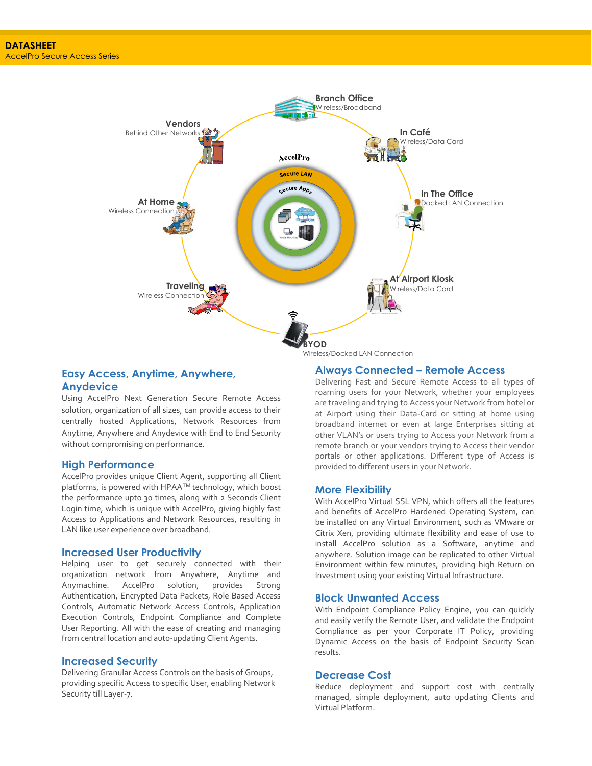

#### **Easy Access, Anytime, Anywhere, Anydevice**

Using AccelPro Next Generation Secure Remote Access solution, organization of all sizes, can provide access to their centrally hosted Applications, Network Resources from Anytime, Anywhere and Anydevice with End to End Security without compromising on performance.

#### **High Performance**

AccelPro provides unique Client Agent, supporting all Client platforms, is powered with HPAATM technology, which boost the performance upto 30 times, along with 2 Seconds Client Login time, which is unique with AccelPro, giving highly fast Access to Applications and Network Resources, resulting in LAN like user experience over broadband.

#### **Increased User Productivity**

Helping user to get securely connected with their organization network from Anywhere, Anytime and Anymachine. AccelPro solution, provides Strong Authentication, Encrypted Data Packets, Role Based Access Controls, Automatic Network Access Controls, Application Execution Controls, Endpoint Compliance and Complete User Reporting. All with the ease of creating and managing from central location and auto-updating Client Agents.

#### **Increased Security**

Delivering Granular Access Controls on the basis of Groups, providing specific Access to specific User, enabling Network Security till Layer-7.

#### **Always Connected – Remote Access**

Delivering Fast and Secure Remote Access to all types of roaming users for your Network, whether your employees are traveling and trying to Access your Network from hotel or at Airport using their Data-Card or sitting at home using broadband internet or even at large Enterprises sitting at other VLAN's or users trying to Access your Network from a remote branch or your vendors trying to Access their vendor portals or other applications. Different type of Access is provided to different users in your Network.

#### **More Flexibility**

With AccelPro Virtual SSL VPN, which offers all the features and benefits of AccelPro Hardened Operating System, can be installed on any Virtual Environment, such as VMware or Citrix Xen, providing ultimate flexibility and ease of use to install AccelPro solution as a Software, anytime and anywhere. Solution image can be replicated to other Virtual Environment within few minutes, providing high Return on Investment using your existing Virtual Infrastructure.

#### **Block Unwanted Access**

With Endpoint Compliance Policy Engine, you can quickly and easily verify the Remote User, and validate the Endpoint Compliance as per your Corporate IT Policy, providing Dynamic Access on the basis of Endpoint Security Scan results.

#### **Decrease Cost**

Reduce deployment and support cost with centrally managed, simple deployment, auto updating Clients and Virtual Platform.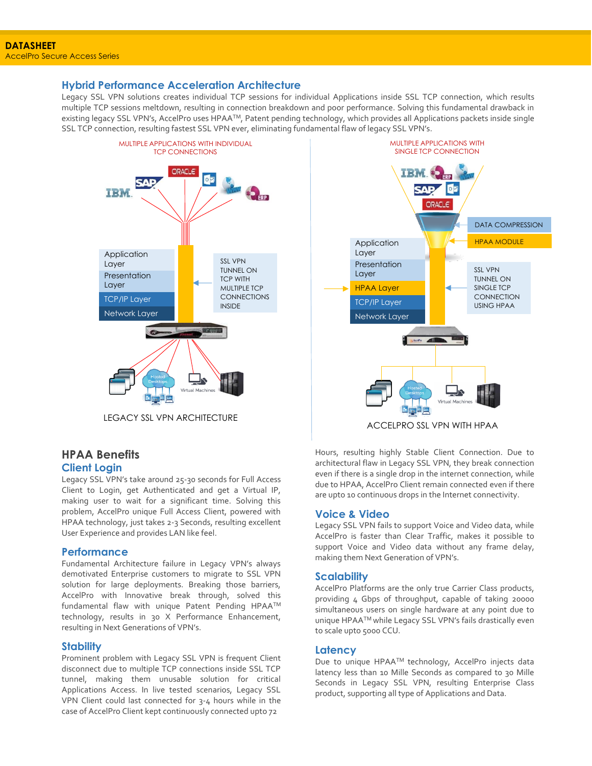#### **Hybrid Performance Acceleration Architecture**

Legacy SSL VPN solutions creates individual TCP sessions for individual Applications inside SSL TCP connection, which results multiple TCP sessions meltdown, resulting in connection breakdown and poor performance. Solving this fundamental drawback in existing legacy SSL VPN's, AccelPro uses HPAATM, Patent pending technology, which provides all Applications packets inside single SSL TCP connection, resulting fastest SSL VPN ever, eliminating fundamental flaw of legacy SSL VPN's.





#### **HPAA Benefits Client Login**

Legacy SSL VPN's take around 25-30 seconds for Full Access Client to Login, get Authenticated and get a Virtual IP, making user to wait for a significant time. Solving this problem, AccelPro unique Full Access Client, powered with HPAA technology, just takes 2-3 Seconds, resulting excellent User Experience and provides LAN like feel.

#### **Performance**

Fundamental Architecture failure in Legacy VPN's always demotivated Enterprise customers to migrate to SSL VPN solution for large deployments. Breaking those barriers, AccelPro with Innovative break through, solved this fundamental flaw with unique Patent Pending HPAATM technology, results in 30 X Performance Enhancement, resulting in Next Generations of VPN's.

#### **Stability**

Prominent problem with Legacy SSL VPN is frequent Client disconnect due to multiple TCP connections inside SSL TCP tunnel, making them unusable solution for critical Applications Access. In live tested scenarios, Legacy SSL VPN Client could last connected for 3-4 hours while in the case of AccelPro Client kept continuously connected upto 72

Hours, resulting highly Stable Client Connection. Due to architectural flaw in Legacy SSL VPN, they break connection even if there is a single drop in the internet connection, while due to HPAA, AccelPro Client remain connected even if there are upto 10 continuous drops in the Internet connectivity.

#### **Voice & Video**

Legacy SSL VPN fails to support Voice and Video data, while AccelPro is faster than Clear Traffic, makes it possible to support Voice and Video data without any frame delay, making them Next Generation of VPN's.

#### **Scalability**

AccelPro Platforms are the only true Carrier Class products, providing 4 Gbps of throughput, capable of taking 20000 simultaneous users on single hardware at any point due to unique HPAATM while Legacy SSL VPN's fails drastically even to scale upto 5000 CCU.

#### **Latency**

Due to unique HPAA™ technology, AccelPro injects data latency less than 10 Mille Seconds as compared to 30 Mille Seconds in Legacy SSL VPN, resulting Enterprise Class product, supporting all type of Applications and Data.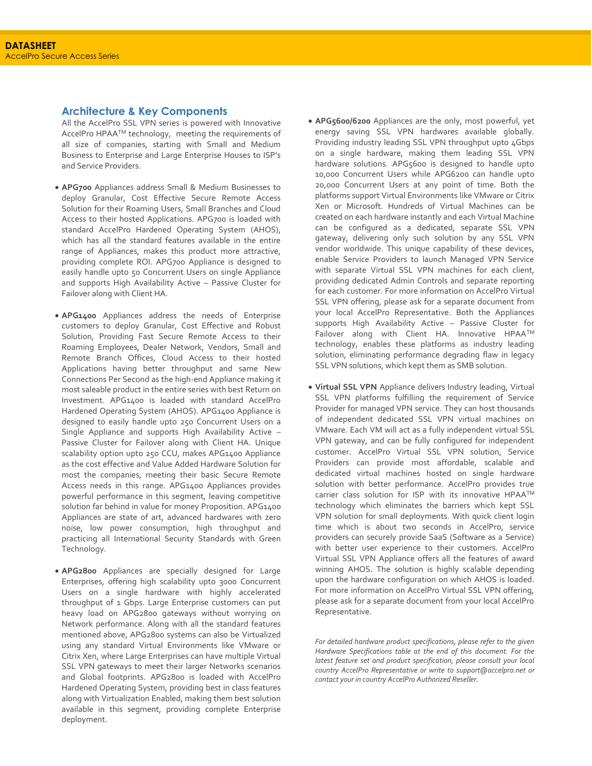#### **Architecture & Key Components**

All the AccelPro SSL VPN series is powered with Innovative AccelPro HPAATM technology, meeting the requirements of all size of companies, starting with Small and Medium Business to Enterprise and Large Enterprise Houses to ISP's and Service Providers.

- **APG700** Appliances address Small & Medium Businesses to deploy Granular, Cost Effective Secure Remote Access Solution for their Roaming Users, Small Branches and Cloud Access to their hosted Applications. APG700 is loaded with standard AccelPro Hardened Operating System (AHOS), which has all the standard features available in the entire range of Appliances, makes this product more attractive, providing complete ROI. APG700 Appliance is designed to easily handle upto 50 Concurrent Users on single Appliance and supports High Availability Active – Passive Cluster for Failover along with Client HA.
- **APG1400** Appliances address the needs of Enterprise customers to deploy Granular, Cost Effective and Robust Solution, Providing Fast Secure Remote Access to their Roaming Employees, Dealer Network, Vendors, Small and Remote Branch Offices, Cloud Access to their hosted Applications having better throughput and same New Connections Per Second as the high-end Appliance making it most saleable product in the entire series with best Return on Investment. APG1400 is loaded with standard AccelPro Hardened Operating System (AHOS). APG1400 Appliance is designed to easily handle upto 250 Concurrent Users on a Single Appliance and supports High Availability Active – Passive Cluster for Failover along with Client HA. Unique scalability option upto 250 CCU, makes APG1400 Appliance as the cost effective and Value Added Hardware Solution for most the companies, meeting their basic Secure Remote Access needs in this range. APG1400 Appliances provides powerful performance in this segment, leaving competitive solution far behind in value for money Proposition. APG1400 Appliances are state of art, advanced hardwares with zero noise, low power consumption, high throughput and practicing all International Security Standards with Green Technology.
- **APG2800** Appliances are specially designed for Large Enterprises, offering high scalability upto 3000 Concurrent Users on a single hardware with highly accelerated throughput of 1 Gbps. Large Enterprise customers can put heavy load on APG2800 gateways without worrying on Network performance. Along with all the standard features mentioned above, APG2800 systems can also be Virtualized using any standard Virtual Environments like VMware or Citrix Xen, where Large Enterprises can have multiple Virtual SSL VPN gateways to meet their larger Networks scenarios and Global footprints. APG2800 is loaded with AccelPro Hardened Operating System, providing best in class features along with Virtualization Enabled, making them best solution available in this segment, providing complete Enterprise deployment.
- **APG5600/6200** Appliances are the only, most powerful, yet energy saving SSL VPN hardwares available globally. Providing industry leading SSL VPN throughput upto 4Gbps on a single hardware, making them leading SSL VPN hardware solutions. APG5600 is designed to handle upto 10,000 Concurrent Users while APG6200 can handle upto 20,000 Concurrent Users at any point of time. Both the platforms support Virtual Environments like VMware or Citrix Xen or Microsoft. Hundreds of Virtual Machines can be created on each hardware instantly and each Virtual Machine can be configured as a dedicated, separate SSL VPN gateway, delivering only such solution by any SSL VPN vendor worldwide. This unique capability of these devices, enable Service Providers to launch Managed VPN Service with separate Virtual SSL VPN machines for each client, providing dedicated Admin Controls and separate reporting for each customer. For more information on AccelPro Virtual SSL VPN offering, please ask for a separate document from your local AccelPro Representative. Both the Appliances supports High Availability Active – Passive Cluster for Failover along with Client HA. Innovative HPAATM technology, enables these platforms as industry leading solution, eliminating performance degrading flaw in legacy SSL VPN solutions, which kept them as SMB solution.
- **Virtual SSL VPN** Appliance delivers Industry leading, Virtual SSL VPN platforms fulfilling the requirement of Service Provider for managed VPN service. They can host thousands of independent dedicated SSL VPN virtual machines on VMware. Each VM will act as a fully independent virtual SSL VPN gateway, and can be fully configured for independent customer. AccelPro Virtual SSL VPN solution, Service Providers can provide most affordable, scalable and dedicated virtual machines hosted on single hardware solution with better performance. AccelPro provides true carrier class solution for ISP with its innovative HPAATM technology which eliminates the barriers which kept SSL VPN solution for small deployments. With quick client login time which is about two seconds in AccelPro, service providers can securely provide SaaS (Software as a Service) with better user experience to their customers. AccelPro Virtual SSL VPN Appliance offers all the features of award winning AHOS. The solution is highly scalable depending upon the hardware configuration on which AHOS is loaded. For more information on AccelPro Virtual SSL VPN offering, please ask for a separate document from your local AccelPro Representative.

*For detailed hardware product specifications, please refer to the given Hardware Specifications table at the end of this document. For the latest feature set and product specification, please consult your local country AccelPro Representative or write to [support@accelpro.net](mailto:support@accelpro.net) or contact your in country AccelPro Authorized Reseller.*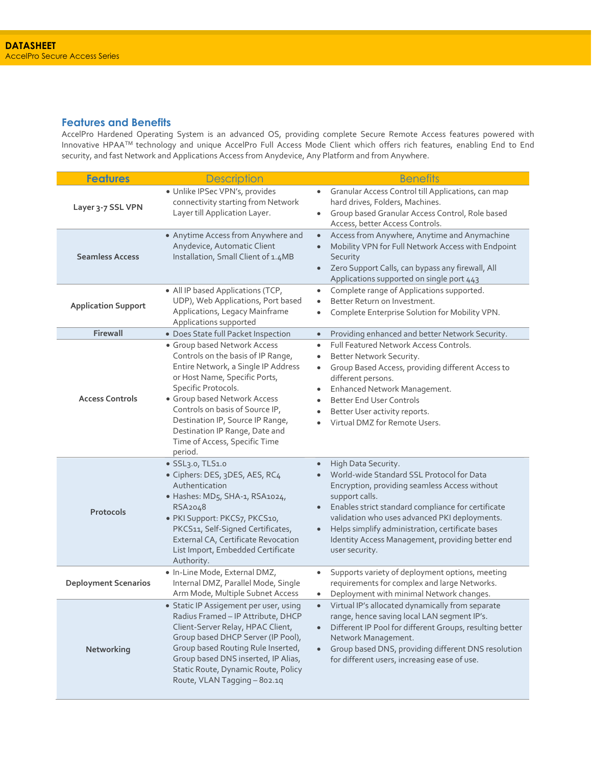#### **Features and Benefits**

AccelPro Hardened Operating System is an advanced OS, providing complete Secure Remote Access features powered with Innovative HPAATM technology and unique AccelPro Full Access Mode Client which offers rich features, enabling End to End security, and fast Network and Applications Access from Anydevice, Any Platform and from Anywhere.

| <b>Features</b>             | <b>Description</b>                                                                                                                                                                                                                                                                                                                                     | <b>Benefits</b>                                                                                                                                                                                                                                                                                                                                                                   |  |  |
|-----------------------------|--------------------------------------------------------------------------------------------------------------------------------------------------------------------------------------------------------------------------------------------------------------------------------------------------------------------------------------------------------|-----------------------------------------------------------------------------------------------------------------------------------------------------------------------------------------------------------------------------------------------------------------------------------------------------------------------------------------------------------------------------------|--|--|
| Layer 3-7 SSL VPN           | · Unlike IPSec VPN's, provides<br>connectivity starting from Network<br>Layer till Application Layer.                                                                                                                                                                                                                                                  | Granular Access Control till Applications, can map<br>hard drives, Folders, Machines.<br>Group based Granular Access Control, Role based<br>$\bullet$<br>Access, better Access Controls.                                                                                                                                                                                          |  |  |
| <b>Seamless Access</b>      | • Anytime Access from Anywhere and<br>Anydevice, Automatic Client<br>Installation, Small Client of 1.4MB                                                                                                                                                                                                                                               | Access from Anywhere, Anytime and Anymachine<br>$\bullet$<br>Mobility VPN for Full Network Access with Endpoint<br>Security<br>Zero Support Calls, can bypass any firewall, All<br>Applications supported on single port 443                                                                                                                                                      |  |  |
| <b>Application Support</b>  | • All IP based Applications (TCP,<br>UDP), Web Applications, Port based<br>Applications, Legacy Mainframe<br>Applications supported                                                                                                                                                                                                                    | Complete range of Applications supported.<br>$\bullet$<br>Better Return on Investment.<br>$\bullet$<br>Complete Enterprise Solution for Mobility VPN.<br>٠                                                                                                                                                                                                                        |  |  |
| Firewall                    | · Does State full Packet Inspection                                                                                                                                                                                                                                                                                                                    | Providing enhanced and better Network Security.<br>$\bullet$                                                                                                                                                                                                                                                                                                                      |  |  |
| <b>Access Controls</b>      | · Group based Network Access<br>Controls on the basis of IP Range,<br>Entire Network, a Single IP Address<br>or Host Name, Specific Ports,<br>Specific Protocols.<br>· Group based Network Access<br>Controls on basis of Source IP,<br>Destination IP, Source IP Range,<br>Destination IP Range, Date and<br>Time of Access, Specific Time<br>period. | Full Featured Network Access Controls.<br>$\bullet$<br>Better Network Security.<br>$\bullet$<br>Group Based Access, providing different Access to<br>$\bullet$<br>different persons.<br>Enhanced Network Management.<br><b>Better End User Controls</b><br>$\bullet$<br>Better User activity reports.<br>$\bullet$<br>Virtual DMZ for Remote Users.<br>$\bullet$                  |  |  |
| Protocols                   | · SSL3.0, TLS1.0<br>· Ciphers: DES, 3DES, AES, RC4<br>Authentication<br>· Hashes: MD5, SHA-1, RSA1024,<br>RSA2048<br>· PKI Support: PKCS7, PKCS10,<br>PKCS11, Self-Signed Certificates,<br>External CA, Certificate Revocation<br>List Import, Embedded Certificate<br>Authority.                                                                      | High Data Security.<br>$\bullet$<br>World-wide Standard SSL Protocol for Data<br>Encryption, providing seamless Access without<br>support calls.<br>Enables strict standard compliance for certificate<br>validation who uses advanced PKI deployments.<br>Helps simplify administration, certificate bases<br>Identity Access Management, providing better end<br>user security. |  |  |
| <b>Deployment Scenarios</b> | · In-Line Mode, External DMZ,<br>Internal DMZ, Parallel Mode, Single<br>Arm Mode, Multiple Subnet Access                                                                                                                                                                                                                                               | Supports variety of deployment options, meeting<br>$\bullet$<br>requirements for complex and large Networks.<br>Deployment with minimal Network changes.                                                                                                                                                                                                                          |  |  |
| Networking                  | Static IP Assigement per user, using<br>Radius Framed - IP Attribute, DHCP<br>Client-Server Relay, HPAC Client,<br>Group based DHCP Server (IP Pool),<br>Group based Routing Rule Inserted,<br>Group based DNS inserted, IP Alias,<br>Static Route, Dynamic Route, Policy<br>Route, VLAN Tagging - 802.1q                                              | Virtual IP's allocated dynamically from separate<br>range, hence saving local LAN segment IP's.<br>Different IP Pool for different Groups, resulting better<br>$\bullet$<br>Network Management.<br>Group based DNS, providing different DNS resolution<br>$\bullet$<br>for different users, increasing ease of use.                                                               |  |  |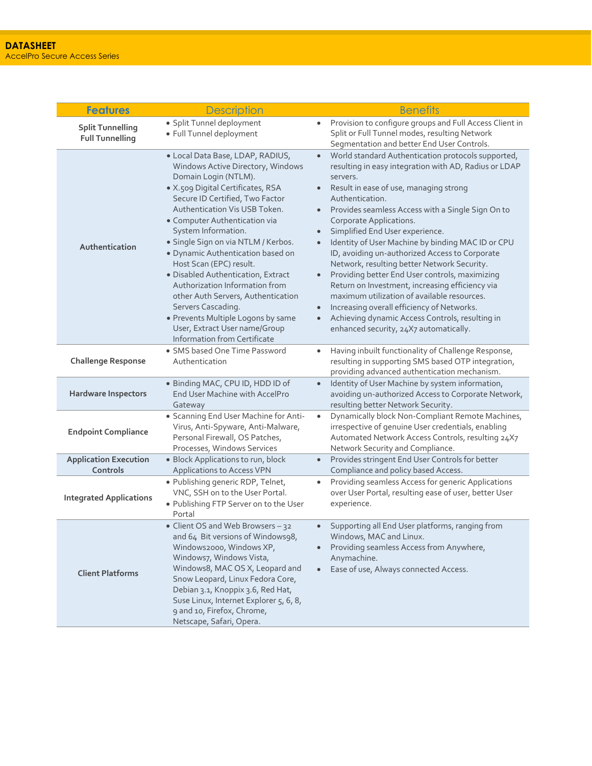| <b>Features</b>                                   | <b>Description</b>                                                                                                                                                                                                                                                                                                                                                                                                                                                                                                                                                                                                      | <b>Benefits</b>                                                                                                                                                                                                                                                                                                                                                                                                                                                                                                                                                                                                                                                                                                                                                                        |
|---------------------------------------------------|-------------------------------------------------------------------------------------------------------------------------------------------------------------------------------------------------------------------------------------------------------------------------------------------------------------------------------------------------------------------------------------------------------------------------------------------------------------------------------------------------------------------------------------------------------------------------------------------------------------------------|----------------------------------------------------------------------------------------------------------------------------------------------------------------------------------------------------------------------------------------------------------------------------------------------------------------------------------------------------------------------------------------------------------------------------------------------------------------------------------------------------------------------------------------------------------------------------------------------------------------------------------------------------------------------------------------------------------------------------------------------------------------------------------------|
| <b>Split Tunnelling</b><br><b>Full Tunnelling</b> | · Split Tunnel deployment<br>· Full Tunnel deployment                                                                                                                                                                                                                                                                                                                                                                                                                                                                                                                                                                   | Provision to configure groups and Full Access Client in<br>$\bullet$<br>Split or Full Tunnel modes, resulting Network<br>Segmentation and better End User Controls.                                                                                                                                                                                                                                                                                                                                                                                                                                                                                                                                                                                                                    |
| Authentication                                    | · Local Data Base, LDAP, RADIUS,<br>Windows Active Directory, Windows<br>Domain Login (NTLM).<br>· X.509 Digital Certificates, RSA<br>Secure ID Certified, Two Factor<br>Authentication Vis USB Token.<br>• Computer Authentication via<br>System Information.<br>· Single Sign on via NTLM / Kerbos.<br>· Dynamic Authentication based on<br>Host Scan (EPC) result.<br>· Disabled Authentication, Extract<br>Authorization Information from<br>other Auth Servers, Authentication<br>Servers Cascading.<br>· Prevents Multiple Logons by same<br>User, Extract User name/Group<br><b>Information from Certificate</b> | World standard Authentication protocols supported,<br>$\bullet$<br>resulting in easy integration with AD, Radius or LDAP<br>servers.<br>Result in ease of use, managing strong<br>Authentication.<br>Provides seamless Access with a Single Sign On to<br>Corporate Applications.<br>Simplified End User experience.<br>Identity of User Machine by binding MAC ID or CPU<br>ID, avoiding un-authorized Access to Corporate<br>Network, resulting better Network Security.<br>Providing better End User controls, maximizing<br>Return on Investment, increasing efficiency via<br>maximum utilization of available resources.<br>Increasing overall efficiency of Networks.<br>Achieving dynamic Access Controls, resulting in<br>$\bullet$<br>enhanced security, 24X7 automatically. |
| <b>Challenge Response</b>                         | • SMS based One Time Password<br>Authentication                                                                                                                                                                                                                                                                                                                                                                                                                                                                                                                                                                         | Having inbuilt functionality of Challenge Response,<br>resulting in supporting SMS based OTP integration,<br>providing advanced authentication mechanism.                                                                                                                                                                                                                                                                                                                                                                                                                                                                                                                                                                                                                              |
| <b>Hardware Inspectors</b>                        | · Binding MAC, CPU ID, HDD ID of<br>End User Machine with AccelPro<br>Gateway                                                                                                                                                                                                                                                                                                                                                                                                                                                                                                                                           | Identity of User Machine by system information,<br>$\bullet$<br>avoiding un-authorized Access to Corporate Network,<br>resulting better Network Security.                                                                                                                                                                                                                                                                                                                                                                                                                                                                                                                                                                                                                              |
| <b>Endpoint Compliance</b>                        | · Scanning End User Machine for Anti-<br>Virus, Anti-Spyware, Anti-Malware,<br>Personal Firewall, OS Patches,<br>Processes, Windows Services                                                                                                                                                                                                                                                                                                                                                                                                                                                                            | Dynamically block Non-Compliant Remote Machines,<br>$\bullet$<br>irrespective of genuine User credentials, enabling<br>Automated Network Access Controls, resulting 24X7<br>Network Security and Compliance.                                                                                                                                                                                                                                                                                                                                                                                                                                                                                                                                                                           |
| <b>Application Execution</b><br>Controls          | · Block Applications to run, block<br>Applications to Access VPN                                                                                                                                                                                                                                                                                                                                                                                                                                                                                                                                                        | Provides stringent End User Controls for better<br>$\bullet$<br>Compliance and policy based Access.                                                                                                                                                                                                                                                                                                                                                                                                                                                                                                                                                                                                                                                                                    |
| <b>Integrated Applications</b>                    | · Publishing generic RDP, Telnet,<br>VNC, SSH on to the User Portal.<br>. Publishing FTP Server on to the User<br>Portal                                                                                                                                                                                                                                                                                                                                                                                                                                                                                                | Providing seamless Access for generic Applications<br>$\bullet$<br>over User Portal, resulting ease of user, better User<br>experience.                                                                                                                                                                                                                                                                                                                                                                                                                                                                                                                                                                                                                                                |
| <b>Client Platforms</b>                           | • Client OS and Web Browsers - 32<br>and 64 Bit versions of Windows98,<br>Windows2000, Windows XP,<br>Windows7, Windows Vista,<br>Windows8, MAC OS X, Leopard and<br>Snow Leopard, Linux Fedora Core,<br>Debian 3.1, Knoppix 3.6, Red Hat,<br>Suse Linux, Internet Explorer 5, 6, 8,<br>9 and 10, Firefox, Chrome,<br>Netscape, Safari, Opera.                                                                                                                                                                                                                                                                          | Supporting all End User platforms, ranging from<br>Windows, MAC and Linux.<br>Providing seamless Access from Anywhere,<br>Anymachine.<br>Ease of use, Always connected Access.<br>$\bullet$                                                                                                                                                                                                                                                                                                                                                                                                                                                                                                                                                                                            |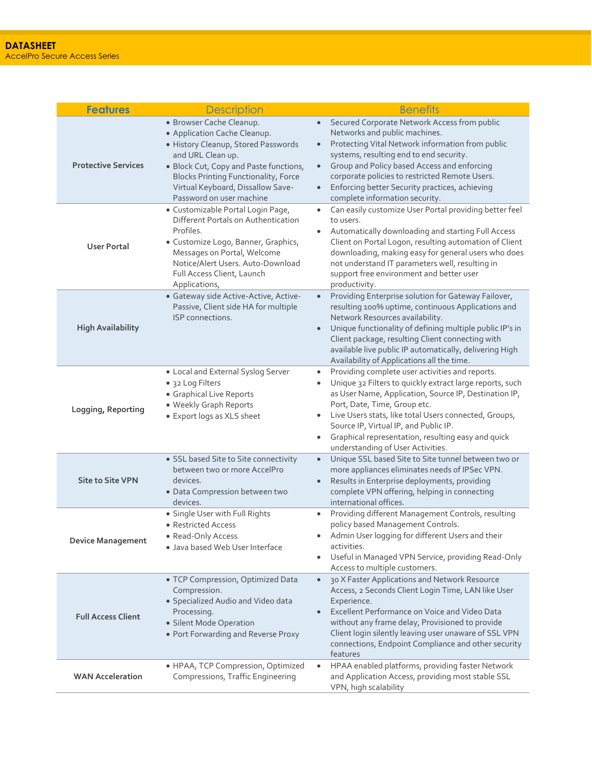| <b>Features</b>            | <b>Description</b>                                                                                                                                                                                                                                                             | <b>Benefits</b>                                                                                                                                                                                                                                                                                                                                                                                                |
|----------------------------|--------------------------------------------------------------------------------------------------------------------------------------------------------------------------------------------------------------------------------------------------------------------------------|----------------------------------------------------------------------------------------------------------------------------------------------------------------------------------------------------------------------------------------------------------------------------------------------------------------------------------------------------------------------------------------------------------------|
| <b>Protective Services</b> | · Browser Cache Cleanup.<br>• Application Cache Cleanup.<br>· History Cleanup, Stored Passwords<br>and URL Clean up.<br>· Block Cut, Copy and Paste functions,<br><b>Blocks Printing Functionality, Force</b><br>Virtual Keyboard, Dissallow Save-<br>Password on user machine | Secured Corporate Network Access from public<br>$\bullet$<br>Networks and public machines.<br>Protecting Vital Network information from public<br>$\bullet$<br>systems, resulting end to end security.<br>Group and Policy based Access and enforcing<br>$\bullet$<br>corporate policies to restricted Remote Users.<br>Enforcing better Security practices, achieving<br>complete information security.       |
| <b>User Portal</b>         | · Customizable Portal Login Page,<br>Different Portals on Authentication<br>Profiles.<br>· Customize Logo, Banner, Graphics,<br>Messages on Portal, Welcome<br>Notice/Alert Users. Auto-Download<br>Full Access Client, Launch<br>Applications,                                | Can easily customize User Portal providing better feel<br>to users.<br>Automatically downloading and starting Full Access<br>Client on Portal Logon, resulting automation of Client<br>downloading, making easy for general users who does<br>not understand IT parameters well, resulting in<br>support free environment and better user<br>productivity.                                                     |
| <b>High Availability</b>   | · Gateway side Active-Active, Active-<br>Passive, Client side HA for multiple<br>ISP connections.                                                                                                                                                                              | Providing Enterprise solution for Gateway Failover,<br>$\bullet$<br>resulting 100% uptime, continuous Applications and<br>Network Resources availability.<br>Unique functionality of defining multiple public IP's in<br>Client package, resulting Client connecting with<br>available live public IP automatically, delivering High<br>Availability of Applications all the time.                             |
| Logging, Reporting         | • Local and External Syslog Server<br>• 32 Log Filters<br>• Graphical Live Reports<br>· Weekly Graph Reports<br>• Export logs as XLS sheet                                                                                                                                     | Providing complete user activities and reports.<br>$\bullet$<br>Unique 32 Filters to quickly extract large reports, such<br>as User Name, Application, Source IP, Destination IP,<br>Port, Date, Time, Group etc.<br>Live Users stats, like total Users connected, Groups,<br>Source IP, Virtual IP, and Public IP.<br>Graphical representation, resulting easy and quick<br>understanding of User Activities. |
| <b>Site to Site VPN</b>    | • SSL based Site to Site connectivity<br>between two or more AccelPro<br>devices.<br>· Data Compression between two<br>devices.                                                                                                                                                | Unique SSL based Site to Site tunnel between two or<br>$\bullet$<br>more appliances eliminates needs of IPSec VPN.<br>Results in Enterprise deployments, providing<br>complete VPN offering, helping in connecting<br>international offices.                                                                                                                                                                   |
| <b>Device Management</b>   | · Single User with Full Rights<br>• Restricted Access<br>• Read-Only Access<br>· Java based Web User Interface                                                                                                                                                                 | Providing different Management Controls, resulting<br>$\bullet$<br>policy based Management Controls.<br>Admin User logging for different Users and their<br>activities.<br>Useful in Managed VPN Service, providing Read-Only<br>Access to multiple customers.                                                                                                                                                 |
| <b>Full Access Client</b>  | • TCP Compression, Optimized Data<br>Compression.<br>· Specialized Audio and Video data<br>Processing.<br>· Silent Mode Operation<br>• Port Forwarding and Reverse Proxy                                                                                                       | 30 X Faster Applications and Network Resource<br>$\bullet$<br>Access, 2 Seconds Client Login Time, LAN like User<br>Experience.<br>Excellent Performance on Voice and Video Data<br>without any frame delay, Provisioned to provide<br>Client login silently leaving user unaware of SSL VPN<br>connections, Endpoint Compliance and other security<br>features                                                |
| <b>WAN Acceleration</b>    | • HPAA, TCP Compression, Optimized<br>Compressions, Traffic Engineering                                                                                                                                                                                                        | HPAA enabled platforms, providing faster Network<br>$\bullet$<br>and Application Access, providing most stable SSL<br>VPN, high scalability                                                                                                                                                                                                                                                                    |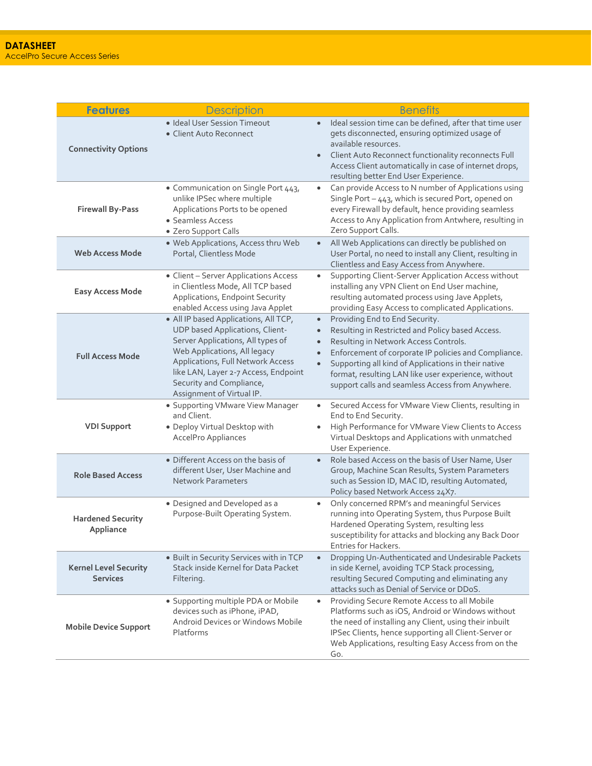| <b>Features</b>                                 | <b>Description</b>                                                                                                                                                                                                                                                                  | <b>Benefits</b>                                                                                                                                                                                                                                                                                                                                                                                                        |  |  |
|-------------------------------------------------|-------------------------------------------------------------------------------------------------------------------------------------------------------------------------------------------------------------------------------------------------------------------------------------|------------------------------------------------------------------------------------------------------------------------------------------------------------------------------------------------------------------------------------------------------------------------------------------------------------------------------------------------------------------------------------------------------------------------|--|--|
| <b>Connectivity Options</b>                     | · Ideal User Session Timeout<br>• Client Auto Reconnect                                                                                                                                                                                                                             | Ideal session time can be defined, after that time user<br>$\bullet$<br>gets disconnected, ensuring optimized usage of<br>available resources.<br>Client Auto Reconnect functionality reconnects Full<br>$\bullet$<br>Access Client automatically in case of internet drops,<br>resulting better End User Experience.                                                                                                  |  |  |
| <b>Firewall By-Pass</b>                         | • Communication on Single Port 443,<br>unlike IPSec where multiple<br>Applications Ports to be opened<br>• Seamless Access<br>• Zero Support Calls                                                                                                                                  | Can provide Access to N number of Applications using<br>Single Port - 443, which is secured Port, opened on<br>every Firewall by default, hence providing seamless<br>Access to Any Application from Antwhere, resulting in<br>Zero Support Calls.                                                                                                                                                                     |  |  |
| <b>Web Access Mode</b>                          | . Web Applications, Access thru Web<br>Portal, Clientless Mode                                                                                                                                                                                                                      | All Web Applications can directly be published on<br>$\bullet$<br>User Portal, no need to install any Client, resulting in<br>Clientless and Easy Access from Anywhere.                                                                                                                                                                                                                                                |  |  |
| <b>Easy Access Mode</b>                         | • Client - Server Applications Access<br>in Clientless Mode, All TCP based<br>Applications, Endpoint Security<br>enabled Access using Java Applet                                                                                                                                   | Supporting Client-Server Application Access without<br>installing any VPN Client on End User machine,<br>resulting automated process using Jave Applets,<br>providing Easy Access to complicated Applications.                                                                                                                                                                                                         |  |  |
| <b>Full Access Mode</b>                         | • All IP based Applications, All TCP,<br>UDP based Applications, Client-<br>Server Applications, All types of<br>Web Applications, All legacy<br>Applications, Full Network Access<br>like LAN, Layer 2-7 Access, Endpoint<br>Security and Compliance,<br>Assignment of Virtual IP. | Providing End to End Security.<br>$\bullet$<br>Resulting in Restricted and Policy based Access.<br>$\bullet$<br>Resulting in Network Access Controls.<br>$\bullet$<br>Enforcement of corporate IP policies and Compliance.<br>$\bullet$<br>Supporting all kind of Applications in their native<br>$\bullet$<br>format, resulting LAN like user experience, without<br>support calls and seamless Access from Anywhere. |  |  |
| <b>VDI Support</b>                              | • Supporting VMware View Manager<br>and Client.<br>· Deploy Virtual Desktop with<br>AccelPro Appliances                                                                                                                                                                             | Secured Access for VMware View Clients, resulting in<br>$\bullet$<br>End to End Security.<br>High Performance for VMware View Clients to Access<br>Virtual Desktops and Applications with unmatched<br>User Experience.                                                                                                                                                                                                |  |  |
| <b>Role Based Access</b>                        | • Different Access on the basis of<br>different User, User Machine and<br>Network Parameters                                                                                                                                                                                        | Role based Access on the basis of User Name, User<br>$\bullet$<br>Group, Machine Scan Results, System Parameters<br>such as Session ID, MAC ID, resulting Automated,<br>Policy based Network Access 24X7.                                                                                                                                                                                                              |  |  |
| <b>Hardened Security</b><br>Appliance           | · Designed and Developed as a<br>Purpose-Built Operating System.                                                                                                                                                                                                                    | Only concerned RPM's and meaningful Services<br>$\bullet$<br>running into Operating System, thus Purpose Built<br>Hardened Operating System, resulting less<br>susceptibility for attacks and blocking any Back Door<br>Entries for Hackers.                                                                                                                                                                           |  |  |
| <b>Kernel Level Security</b><br><b>Services</b> | · Built in Security Services with in TCP<br>Stack inside Kernel for Data Packet<br>Filtering.                                                                                                                                                                                       | Dropping Un-Authenticated and Undesirable Packets<br>$\bullet$<br>in side Kernel, avoiding TCP Stack processing,<br>resulting Secured Computing and eliminating any<br>attacks such as Denial of Service or DDoS.                                                                                                                                                                                                      |  |  |
| <b>Mobile Device Support</b>                    | • Supporting multiple PDA or Mobile<br>devices such as iPhone, iPAD,<br>Android Devices or Windows Mobile<br>Platforms                                                                                                                                                              | Providing Secure Remote Access to all Mobile<br>$\bullet$<br>Platforms such as iOS, Android or Windows without<br>the need of installing any Client, using their inbuilt<br>IPSec Clients, hence supporting all Client-Server or<br>Web Applications, resulting Easy Access from on the<br>Go.                                                                                                                         |  |  |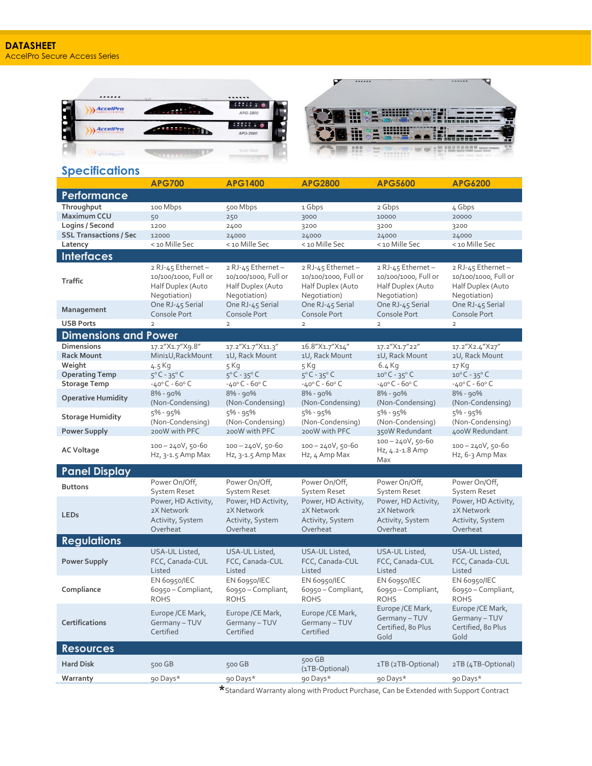

|                               | <b>APG700</b>                                                                  | <b>APG1400</b>                                                                 | <b>APG2800</b>                                                                 | <b>APG5600</b>                                                                 | <b>APG6200</b>                                                                 |
|-------------------------------|--------------------------------------------------------------------------------|--------------------------------------------------------------------------------|--------------------------------------------------------------------------------|--------------------------------------------------------------------------------|--------------------------------------------------------------------------------|
| Performance                   |                                                                                |                                                                                |                                                                                |                                                                                |                                                                                |
| Throughput                    | 100 Mbps                                                                       | 500 Mbps                                                                       | 1 Gbps                                                                         | 2 Gbps                                                                         | 4 Gbps                                                                         |
| <b>Maximum CCU</b>            | 50                                                                             | 250                                                                            | 3000                                                                           | 10000                                                                          | 20000                                                                          |
| Logins / Second               | 1200                                                                           | 2400                                                                           | 3200                                                                           | 3200                                                                           | 3200                                                                           |
| <b>SSL Transactions / Sec</b> | 12000                                                                          | 24000                                                                          | 24000                                                                          | 24000                                                                          | 24000                                                                          |
| Latency                       | < 10 Mille Sec                                                                 | < 10 Mille Sec                                                                 | < 10 Mille Sec                                                                 | < 10 Mille Sec                                                                 | < 10 Mille Sec                                                                 |
| <b>Interfaces</b>             |                                                                                |                                                                                |                                                                                |                                                                                |                                                                                |
| <b>Traffic</b>                | 2 RJ-45 Ethernet-<br>10/100/1000, Full or<br>Half Duplex (Auto<br>Negotiation) | 2 RJ-45 Ethernet-<br>10/100/1000, Full or<br>Half Duplex (Auto<br>Negotiation) | 2 RJ-45 Ethernet-<br>10/100/1000, Full or<br>Half Duplex (Auto<br>Negotiation) | 2 RJ-45 Ethernet-<br>10/100/1000, Full or<br>Half Duplex (Auto<br>Negotiation) | 2 RJ-45 Ethernet-<br>10/100/1000, Full or<br>Half Duplex (Auto<br>Negotiation) |
| Management                    | One RJ-45 Serial<br>Console Port                                               | One RJ-45 Serial<br>Console Port                                               | One RJ-45 Serial<br>Console Port                                               | One RJ-45 Serial<br>Console Port                                               | One RJ-45 Serial<br>Console Port                                               |
| <b>USB Ports</b>              | $\overline{2}$                                                                 | $\overline{2}$                                                                 | $\overline{2}$                                                                 | $\overline{2}$                                                                 | $\overline{2}$                                                                 |
| <b>Dimensions and Power</b>   |                                                                                |                                                                                |                                                                                |                                                                                |                                                                                |
| Dimensions                    | 17.2"X1.7"X9.8"                                                                | 17.2"X1.7"X11.3"                                                               | 16.8"X1.7"X14"                                                                 | 17.2"X1.7"22"                                                                  | 17.2"X2.4"X27"                                                                 |
| <b>Rack Mount</b>             | Mini1U, RackMount                                                              | 1U, Rack Mount                                                                 | 1U, Rack Mount                                                                 | 1U, Rack Mount                                                                 | 2U, Rack Mount                                                                 |
| Weight                        | 4.5 Kg                                                                         | 5 Kg                                                                           | 5 Kg                                                                           | $6.4$ Kg                                                                       | 17 Kg                                                                          |
| <b>Operating Temp</b>         | $5^{\circ}$ C - 35°C                                                           | $5^{\circ}$ C - 35°C                                                           | $5^{\circ}$ C - 35°C                                                           | $10^{\circ}$ C - 35°C                                                          | $10^{\circ}$ C - 35°C                                                          |
| <b>Storage Temp</b>           | $-40^{\circ}$ C - 60° C                                                        | $-40^{\circ}$ C - 60° C                                                        | $-40^{\circ}$ C - 60 $^{\circ}$ C                                              | $-40^{\circ}$ C - 60° C                                                        | $-40^{\circ}$ C - 60° C                                                        |
| <b>Operative Humidity</b>     | $8\%$ - 90%<br>(Non-Condensing)                                                | $8\% - 90\%$<br>(Non-Condensing)                                               | $8\%$ - 90%<br>(Non-Condensing)                                                | 8% - 90%<br>(Non-Condensing)                                                   | 8% - 90%<br>(Non-Condensing)                                                   |
| <b>Storage Humidity</b>       | $5\% - 95\%$<br>(Non-Condensing)                                               | 5% - 95%<br>(Non-Condensing)                                                   | 5% - 95%<br>(Non-Condensing)                                                   | 5% - 95%<br>(Non-Condensing)                                                   | 5% - 95%<br>(Non-Condensing)                                                   |
| <b>Power Supply</b>           | 200W with PFC                                                                  | 200W with PFC                                                                  | 200W with PFC                                                                  | 350W Redundant                                                                 | 400W Redundant                                                                 |
| AC Voltage                    | $100 - 240V, 50 - 60$<br>Hz, $3-1.5$ Amp Max                                   | $100 - 240V, 50 - 60$<br>$Hz$ , 3-1.5 Amp Max                                  | $100 - 240V, 50 - 60$<br>Hz, 4 Amp Max                                         | $100 - 240V, 50 - 60$<br>Hz, 4.2-1.8 Amp<br>Max                                | $100 - 240V, 50 - 60$<br>Hz, 6-3 Amp Max                                       |
| <b>Panel Display</b>          |                                                                                |                                                                                |                                                                                |                                                                                |                                                                                |
| <b>Buttons</b>                | Power On/Off,<br>System Reset                                                  | Power On/Off,<br><b>System Reset</b>                                           | Power On/Off,<br>System Reset                                                  | Power On/Off,<br>System Reset                                                  | Power On/Off,<br>System Reset                                                  |
| <b>LEDs</b>                   | Power, HD Activity,<br>2X Network<br>Activity, System<br>Overheat              | Power, HD Activity,<br>2X Network<br>Activity, System<br>Overheat              | Power, HD Activity,<br>2X Network<br>Activity, System<br>Overheat              | Power, HD Activity,<br>2X Network<br>Activity, System<br>Overheat              | Power, HD Activity,<br>2X Network<br>Activity, System<br>Overheat              |
| <b>Regulations</b>            |                                                                                |                                                                                |                                                                                |                                                                                |                                                                                |
| Power Supply                  | USA-UL Listed,<br>FCC, Canada-CUL<br>Listed                                    | USA-UL Listed,<br>FCC, Canada-CUL<br>Listed                                    | USA-UL Listed,<br>FCC, Canada-CUL<br>Listed                                    | USA-UL Listed,<br>FCC, Canada-CUL<br>Listed                                    | USA-UL Listed,<br>FCC, Canada-CUL<br>Listed                                    |
| Compliance                    | EN 60950/IEC<br>60950 - Compliant,<br><b>ROHS</b>                              | EN 60950/IEC<br>60950 - Compliant,<br><b>ROHS</b>                              | EN 60950/IEC<br>60950 - Compliant,<br>ROHS                                     | EN 60950/IEC<br>60950 - Compliant,<br><b>ROHS</b>                              | EN 60950/IEC<br>60950 - Compliant,<br><b>ROHS</b>                              |
| Certifications                | Europe / CE Mark,<br>Germany-TUV<br>Certified                                  | Europe / CE Mark,<br>Germany-TUV<br>Certified                                  | Europe / CE Mark,<br>Germany - TUV<br>Certified                                | Europe / CE Mark,<br>Germany - TUV<br>Certified, 80 Plus<br>Gold               | Europe /CE Mark,<br>Germany-TUV<br>Certified, 80 Plus<br>Gold                  |
| <b>Resources</b>              |                                                                                |                                                                                |                                                                                |                                                                                |                                                                                |
| <b>Hard Disk</b>              | 500 GB                                                                         | 500 GB                                                                         | 500 GB<br>(1TB-Optional)                                                       | 1TB (2TB-Optional)                                                             | 2TB (4TB-Optional)                                                             |
| Warranty                      | 90 Days*                                                                       | 90 Days*                                                                       | 90 Days*                                                                       | 90 Days*                                                                       | 90 Days*                                                                       |

**\***Standard Warranty along with Product Purchase, Can be Extended with Support Contract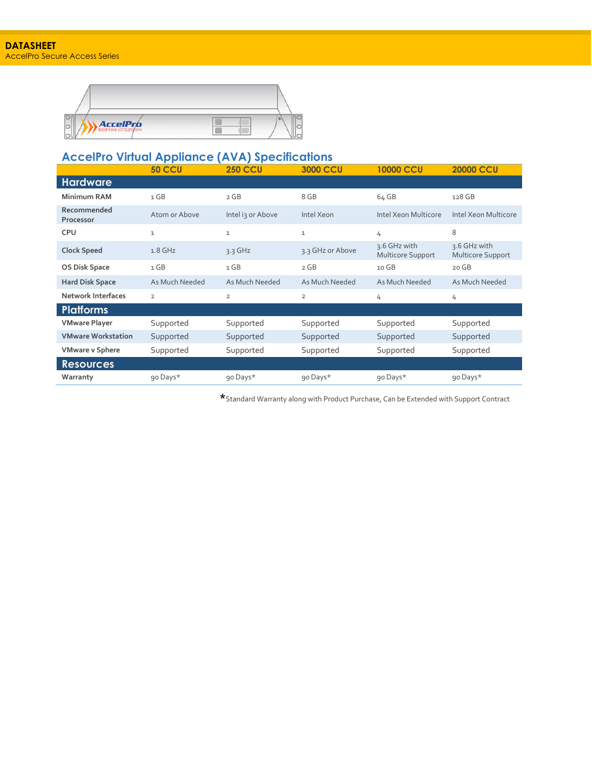

### **AccelPro Virtual Appliance (AVA) Specifications**

|                           | <b>50 CCU</b>  | <b>250 CCU</b>    | <b>3000 CCU</b>  | <b>10000 CCU</b>                  | <b>20000 CCU</b>                  |
|---------------------------|----------------|-------------------|------------------|-----------------------------------|-----------------------------------|
| <b>Hardware</b>           |                |                   |                  |                                   |                                   |
| <b>Minimum RAM</b>        | 1 GB           | 2 GB              | 8 GB             | 64 GB                             | 128 GB                            |
| Recommended<br>Processor  | Atom or Above  | Intel is or Above | Intel Xeon       | Intel Xeon Multicore              | Intel Xeon Multicore              |
| <b>CPU</b>                | $\mathbf 1$    | $\mathbf 1$       | $\mathbf 1$      | 4                                 | 8                                 |
| <b>Clock Speed</b>        | $1.8$ GHz      | $3.3$ GHz         | 3.3 GHz or Above | 3.6 GHz with<br>Multicore Support | 3.6 GHz with<br>Multicore Support |
| OS Disk Space             | 1 GB           | 1 GB              | 2 GB             | 10 GB                             | 20 GB                             |
| <b>Hard Disk Space</b>    | As Much Needed | As Much Needed    | As Much Needed   | As Much Needed                    | As Much Needed                    |
| <b>Network Interfaces</b> | $\overline{2}$ | $\overline{2}$    | $\overline{2}$   | 4                                 | 4                                 |
| <b>Platforms</b>          |                |                   |                  |                                   |                                   |
| <b>VMware Player</b>      | Supported      | Supported         | Supported        | Supported                         | Supported                         |
| <b>VMware Workstation</b> | Supported      | Supported         | Supported        | Supported                         | Supported                         |
| <b>VMware v Sphere</b>    | Supported      | Supported         | Supported        | Supported                         | Supported                         |
| <b>Resources</b>          |                |                   |                  |                                   |                                   |
| Warranty                  | 90 Days*       | 90 Days*          | 90 Days*         | 90 Days*                          | 90 Days*                          |

**\***Standard Warranty along with Product Purchase, Can be Extended with Support Contract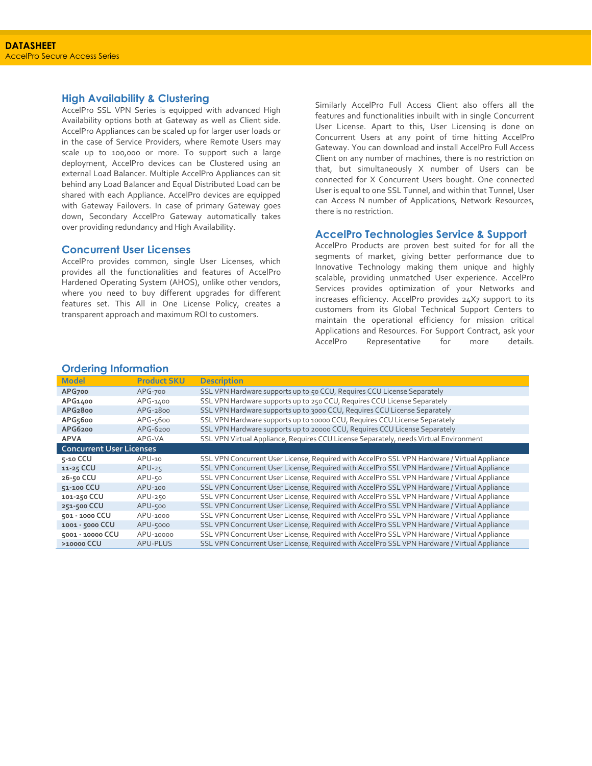#### **High Availability & Clustering**

AccelPro SSL VPN Series is equipped with advanced High Availability options both at Gateway as well as Client side. AccelPro Appliances can be scaled up for larger user loads or in the case of Service Providers, where Remote Users may scale up to 100,000 or more. To support such a large deployment, AccelPro devices can be Clustered using an external Load Balancer. Multiple AccelPro Appliances can sit behind any Load Balancer and Equal Distributed Load can be shared with each Appliance. AccelPro devices are equipped with Gateway Failovers. In case of primary Gateway goes down, Secondary AccelPro Gateway automatically takes over providing redundancy and High Availability.

#### **Concurrent User Licenses**

AccelPro provides common, single User Licenses, which provides all the functionalities and features of AccelPro Hardened Operating System (AHOS), unlike other vendors, where you need to buy different upgrades for different features set. This All in One License Policy, creates a transparent approach and maximum ROI to customers.

Similarly AccelPro Full Access Client also offers all the features and functionalities inbuilt with in single Concurrent User License. Apart to this, User Licensing is done on Concurrent Users at any point of time hitting AccelPro Gateway. You can download and install AccelPro Full Access Client on any number of machines, there is no restriction on that, but simultaneously X number of Users can be connected for X Concurrent Users bought. One connected User is equal to one SSL Tunnel, and within that Tunnel, User can Access N number of Applications, Network Resources, there is no restriction.

#### **AccelPro Technologies Service & Support**

AccelPro Products are proven best suited for for all the segments of market, giving better performance due to Innovative Technology making them unique and highly scalable, providing unmatched User experience. AccelPro Services provides optimization of your Networks and increases efficiency. AccelPro provides 24X7 support to its customers from its Global Technical Support Centers to maintain the operational efficiency for mission critical Applications and Resources. For Support Contract, ask your AccelPro Representative for more details.

| <b>Ordering Information</b> |  |  |  |  |
|-----------------------------|--|--|--|--|
|-----------------------------|--|--|--|--|

| <b>Model</b>                    | <b>Product SKU</b> | <b>Description</b>                                                                           |
|---------------------------------|--------------------|----------------------------------------------------------------------------------------------|
| APG700                          | APG-700            | SSL VPN Hardware supports up to 50 CCU, Requires CCU License Separately                      |
| APG1400                         | APG-1400           | SSL VPN Hardware supports up to 250 CCU, Requires CCU License Separately                     |
| APG <sub>2800</sub>             | APG-2800           | SSL VPN Hardware supports up to 3000 CCU, Requires CCU License Separately                    |
| APG5600                         | APG-5600           | SSL VPN Hardware supports up to 10000 CCU, Requires CCU License Separately                   |
| APG6200                         | $APG-6200$         | SSL VPN Hardware supports up to 20000 CCU, Requires CCU License Separately                   |
| <b>APVA</b>                     | APG-VA             | SSL VPN Virtual Appliance, Requires CCU License Separately, needs Virtual Environment        |
| <b>Concurrent User Licenses</b> |                    |                                                                                              |
| 5-10 CCU                        | $APU-10$           | SSL VPN Concurrent User License, Required with AccelPro SSL VPN Hardware / Virtual Appliance |
| 11-25 CCU                       | $APU-25$           | SSL VPN Concurrent User License, Required with AccelPro SSL VPN Hardware / Virtual Appliance |
| 26-50 CCU                       | APU-50             | SSL VPN Concurrent User License, Required with AccelPro SSL VPN Hardware / Virtual Appliance |
| 51-100 CCU                      | $APU-100$          | SSL VPN Concurrent User License, Required with AccelPro SSL VPN Hardware / Virtual Appliance |
| 101-250 CCU                     | APU-250            | SSL VPN Concurrent User License, Required with AccelPro SSL VPN Hardware / Virtual Appliance |
| 251-500 CCU                     | APU-500            | SSL VPN Concurrent User License, Required with AccelPro SSL VPN Hardware / Virtual Appliance |
| 501 - 1000 CCU                  | APU-1000           | SSL VPN Concurrent User License, Required with AccelPro SSL VPN Hardware / Virtual Appliance |
| 1001 - 5000 CCU                 | APU-5000           | SSL VPN Concurrent User License, Required with AccelPro SSL VPN Hardware / Virtual Appliance |
| 5001 - 10000 CCU                | APU-10000          | SSL VPN Concurrent User License, Required with AccelPro SSL VPN Hardware / Virtual Appliance |
| >10000 CCU                      | APU-PLUS           | SSL VPN Concurrent User License, Required with AccelPro SSL VPN Hardware / Virtual Appliance |